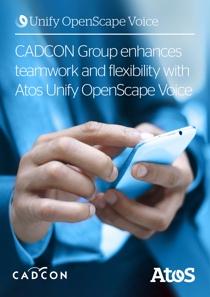# **O** Unify OpenScape Voice

# CADCON Group enhances teamwork and flexibility with Atos Unify OpenScape Voice



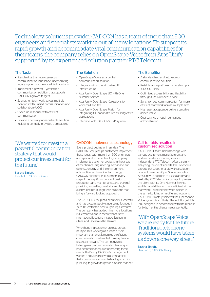Technology solutions provider CADCON has a team of more than 500 engineers and specialists working out of many locations. To support its rapid growth and accommodate vital communication capabilities for their teams, the company relies on OpenScape Voice from Atos Unify supported by its experienced solution partner PTC Telecom.

# The Task:

- Standardize the heterogeneous communication landscape incorporating legacy systems at newly added locations
- Implement a powerful yet flexible communication solution that supports CADCON's growth targets
- Strengthen teamwork across multiple locations with unified communication and collaboration (UCC)
- Speed up response with efficient communication
- Provide a centrally administrable solution, including centrally provided applications

"We wanted to invest in a powerful communication strategy that would protect our investment for the future."

Sascha Einloft, Head of IT, CADCON Group

# The Solution:

- OpenScape Voice as a central communication solution
- Integration into the virtualized IT infrastructure
- Atos Unify OpenScape UC with One Number Service
- Atos Unify OpenScape Xpressions for voicemail and fax
- Atos Unify OpenScape Fusion for integrating UC capability into existing office applications
- Interface with CADCON's ERP system

### The Benefits:

- A standardized and future-proof communication solution
- Reliable voice platform that scales up to 100,000 users
- Optimized accessibility and flexibility through One Number Service
- Synchronized communication for more efficient teamwork across multiple sites
- High user acceptance delivers tangible added value
- Cost savings through centralized administration

# CADCON implements technology

Every project begins with an idea. The CADCON Group helps customers implement these ideas. With more than 500 engineers and specialists, the technology company implements customer projects in the areas of mechanical engineering, aerospace and defense, energy and the environment, automotive, and medical technology. CADCON supports its customers every step of the way (from concept design to production, and maintenance, and training) providing expertise, creativity and high quality. The result: high-tech solutions that bring a forward-looking approach.

The CADCON Group has been very successful and has grown steadily since being founded in 1997 in Gersthofen near Augsburg, Germany. The company has added nine more locations in Germany alone in recent years. New international locations include Suzhou in China and Odessa in the Ukraine.

When handling customer projects across multiple sites, working as a team is more important than ever. It requires an efficient communication system that makes physical distance irrelevant. The company's old, heterogeneous communication landscape had become inadequate for meeting these needs. That's why CADCON's management wanted a solution that would standardize their communications while leaving room for pursuing its growth targets in a flexible manner.

#### Call for bids resulted in customized solution

CADCON's IT team held meetings with various equipment manufacturers and system builders, including vendorindependent PTC Telecom. After carefully analyzing the client's needs, PTC Telecom's experts put together a bid with a solution concept based on OpenScape Voice from Atos Unify. In addition to its scalability and flexibility, PTC Telecom's concept impressed the client with its One Number Service and its capabilities for more efficient virtual teamwork – whether between offices in the same building or in different locations. CADCON ultimately selected the OpenScape Voice system from Unify. The solution, which PTC designed in accordance with the request for bids, met the client's needs perfectly.

"With OpenScape Voice we are ready for the future. Traditional telephone systems would have taken us down a one-way street."

Sascha Einloft, Head of IT, CADCON Group

2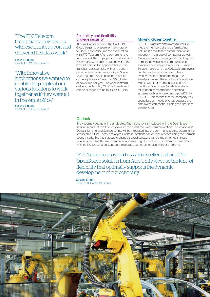# "The PTC Telecom technicians provided us with excellent support and delivered firstclass work."

Sascha Einloft, Head of IT, CADCON Group

# "With innovative

applications we wanted to enable the people at our various locations to work together as if they were all in the same office."

Sascha Einloft, Head of IT, CADCON Group

# Reliability and flexibility provide security

After making its decision, the CADCON Group began to prepare for the migration to OpenScape Voice in close cooperation with PTC Telecom. After a comprehensive function test, the employees at ten locations in Germany were able to switch over to the new solution on the appointed date. The transition was seamless with only a short period of interrupted service. OpenScape Voice features 99.999-percent reliability or the equivalent of less than 5.5 minutes of downtime per year. The voice platform delivers the flexibility CADCON needs and can be expanded to up to 100,000 users.

# Moving closer together

CADCON wants its employees to feel like they are members of a large family. And just like in a real family, communication is important in a group of companies as well. Management and employees benefit equally from the powerful new communication solution. The enterprise-wide One Number Service makes sure that CADCON employees can be reached at a single number – even when they are on the road. Their smartphones run the Atos Unify OpenScape Mobile Client for mobile usability of UC functions. OpenScape Mobile is available for all popular smartphone operating systems such as Android and Apple iOS. For CADCON, this means that the company can spend less on mobile phones, because the employees can continue using their personal smartphones

# **Outlook**

Every journey begins with a single step. The innovations introduced with the OpenScape solution represent this first step towards synchronized voice communication. The locations in Odessa, Ukraine, and Suzhou, China, will be integrated into the communication structure in the foreseeable future. Today, employees in these locations can only be reached using the German country code. But this is about to change: special gateways will be implemented in these locations and directly linked to a national carrier. Together with PTC Telecom we have already finished first preparation steps so the upgrade can be scheduled without problems.

"PTC Telecom provided us with excellent advice. The OpenScape solution from Atos Unify gives us the kind of flexibility that optimally supports the dynamic development of our company."

Sascha Einloft, Head of IT, CADCON Group